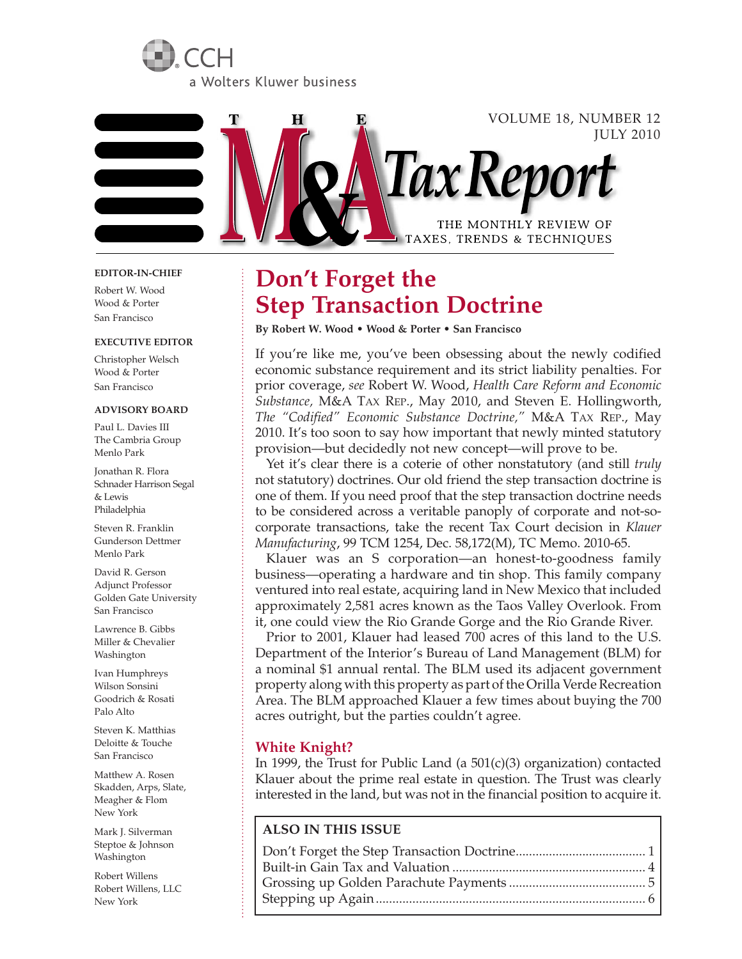



#### **EDITOR-IN-CHIEF**

Robert W. Wood Wood & Porter San Francisco

#### **EXECUTIVE EDITOR**

Christopher Welsch Wood & Porter San Francisco

#### **ADVISORY BOARD**

Paul L. Davies III The Cambria Group Menlo Park

Jonathan R. Flora Schnader Harrison Segal & Lewis Philadelphia

Steven R. Franklin Gunderson Dettmer Menlo Park

David R. Gerson Adjunct Professor Golden Gate University San Francisco

Lawrence B. Gibbs Miller & Chevalier Washington

Ivan Humphreys Wilson Sonsini Goodrich & Rosati Palo Alto

Steven K. Matthias Deloitte & Touche San Francisco

Matthew A. Rosen Skadden, Arps, Slate, Meagher & Flom New York

Mark J. Silverman Steptoe & Johnson Washington

Robert Willens Robert Willens, LLC New York

# **Don't Forget the Step Transaction Doctrine**

**By Robert W. Wood • Wood & Porter • San Francisco**

If you're like me, you've been obsessing about the newly codified economic substance requirement and its strict liability penalties. For prior coverage, *see* Robert W. Wood, *Health Care Reform and Economic Substance,* M&A TAX REP., May 2010, and Steven E. Hollingworth, *The "Codified" Economic Substance Doctrine,"* M&A TAX REP., May 2010. It's too soon to say how important that newly minted statutory provision—but decidedly not new concept—will prove to be.

Yet it's clear there is a coterie of other nonstatutory (and still *truly* not statutory) doctrines. Our old friend the step transaction doctrine is one of them. If you need proof that the step transaction doctrine needs to be considered across a veritable panoply of corporate and not-socorporate transactions, take the recent Tax Court decision in *Klauer Manufacturing*, 99 TCM 1254, Dec. 58,172(M), TC Memo. 2010-65.

Klauer was an S corporation—an honest-to-goodness family business—operating a hardware and tin shop. This family company ventured into real estate, acquiring land in New Mexico that included approximately 2,581 acres known as the Taos Valley Overlook. From it, one could view the Rio Grande Gorge and the Rio Grande River.

Prior to 2001, Klauer had leased 700 acres of this land to the U.S. Department of the Interior's Bureau of Land Management (BLM) for a nominal \$1 annual rental. The BLM used its adjacent government property along with this property as part of the Orilla Verde Recreation Area. The BLM approached Klauer a few times about buying the 700 acres outright, but the parties couldn't agree.

#### **White Knight?**

In 1999, the Trust for Public Land (a 501(c)(3) organization) contacted Klauer about the prime real estate in question. The Trust was clearly interested in the land, but was not in the financial position to acquire it.

#### **ALSO IN THIS ISSUE**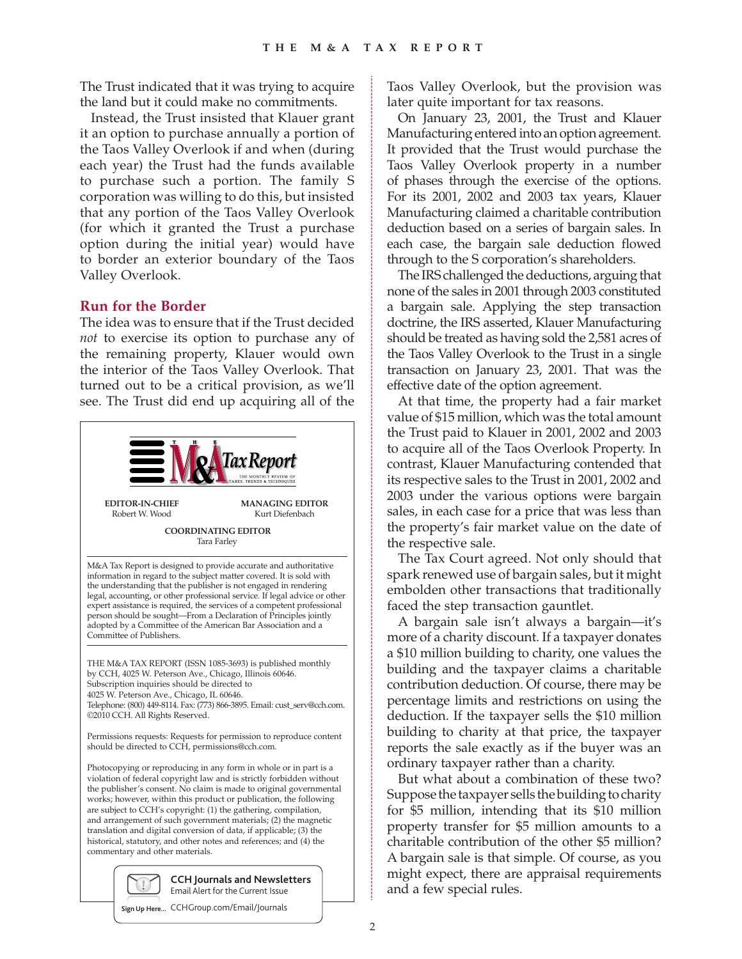The Trust indicated that it was trying to acquire the land but it could make no commitments.

Instead, the Trust insisted that Klauer grant it an option to purchase annually a portion of the Taos Valley Overlook if and when (during each year) the Trust had the funds available to purchase such a portion. The family S corporation was willing to do this, but insisted that any portion of the Taos Valley Overlook (for which it granted the Trust a purchase option during the initial year) would have to border an exterior boundary of the Taos Valley Overlook.

## **Run for the Border**

The idea was to ensure that if the Trust decided *not* to exercise its option to purchase any of the remaining property, Klauer would own the interior of the Taos Valley Overlook. That turned out to be a critical provision, as we'll see. The Trust did end up acquiring all of the



Taos Valley Overlook, but the provision was later quite important for tax reasons.

On January 23, 2001, the Trust and Klauer Manufacturing entered into an option agreement. It provided that the Trust would purchase the Taos Valley Overlook property in a number of phases through the exercise of the options. For its 2001, 2002 and 2003 tax years, Klauer Manufacturing claimed a charitable contribution deduction based on a series of bargain sales. In each case, the bargain sale deduction flowed through to the S corporation's shareholders.

The IRS challenged the deductions, arguing that none of the sales in 2001 through 2003 constituted a bargain sale. Applying the step transaction doctrine, the IRS asserted, Klauer Manufacturing should be treated as having sold the 2,581 acres of the Taos Valley Overlook to the Trust in a single transaction on January 23, 2001. That was the effective date of the option agreement.

At that time, the property had a fair market value of \$15 million, which was the total amount the Trust paid to Klauer in 2001, 2002 and 2003 to acquire all of the Taos Overlook Property. In contrast, Klauer Manufacturing contended that its respective sales to the Trust in 2001, 2002 and 2003 under the various options were bargain sales, in each case for a price that was less than the property's fair market value on the date of the respective sale.

The Tax Court agreed. Not only should that spark renewed use of bargain sales, but it might embolden other transactions that traditionally faced the step transaction gauntlet.

A bargain sale isn't always a bargain—it's more of a charity discount. If a taxpayer donates a \$10 million building to charity, one values the building and the taxpayer claims a charitable contribution deduction. Of course, there may be percentage limits and restrictions on using the deduction. If the taxpayer sells the \$10 million building to charity at that price, the taxpayer reports the sale exactly as if the buyer was an ordinary taxpayer rather than a charity.

But what about a combination of these two? Suppose the taxpayer sells the building to charity for \$5 million, intending that its \$10 million property transfer for \$5 million amounts to a charitable contribution of the other \$5 million? A bargain sale is that simple. Of course, as you might expect, there are appraisal requirements and a few special rules.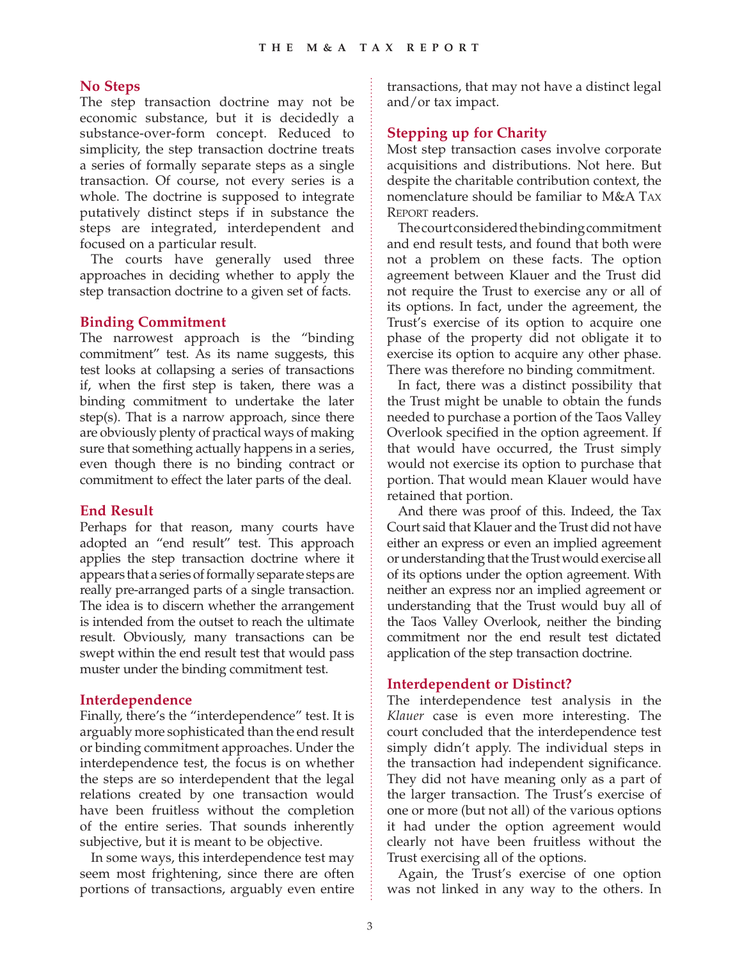### **No Steps**

The step transaction doctrine may not be economic substance, but it is decidedly a substance-over-form concept. Reduced to simplicity, the step transaction doctrine treats a series of formally separate steps as a single transaction. Of course, not every series is a whole. The doctrine is supposed to integrate putatively distinct steps if in substance the steps are integrated, interdependent and focused on a particular result.

The courts have generally used three approaches in deciding whether to apply the step transaction doctrine to a given set of facts.

## **Binding Commitment**

The narrowest approach is the "binding commitment" test. As its name suggests, this test looks at collapsing a series of transactions if, when the first step is taken, there was a binding commitment to undertake the later step(s). That is a narrow approach, since there are obviously plenty of practical ways of making sure that something actually happens in a series, even though there is no binding contract or commitment to effect the later parts of the deal.

#### **End Result**

Perhaps for that reason, many courts have adopted an "end result" test. This approach applies the step transaction doctrine where it appears that a series of formally separate steps are really pre-arranged parts of a single transaction. The idea is to discern whether the arrangement is intended from the outset to reach the ultimate result. Obviously, many transactions can be swept within the end result test that would pass muster under the binding commitment test.

#### **Interdependence**

Finally, there's the "interdependence" test. It is arguably more sophisticated than the end result or binding commitment approaches. Under the interdependence test, the focus is on whether the steps are so interdependent that the legal relations created by one transaction would have been fruitless without the completion of the entire series. That sounds inherently subjective, but it is meant to be objective.

In some ways, this interdependence test may seem most frightening, since there are often portions of transactions, arguably even entire transactions, that may not have a distinct legal and/or tax impact.

# **Stepping up for Charity**

Most step transaction cases involve corporate acquisitions and distributions. Not here. But despite the charitable contribution context, the nomenclature should be familiar to M&A TAX REPORT readers.

The court considered the binding commitment and end result tests, and found that both were not a problem on these facts. The option agreement between Klauer and the Trust did not require the Trust to exercise any or all of its options. In fact, under the agreement, the Trust's exercise of its option to acquire one phase of the property did not obligate it to exercise its option to acquire any other phase. There was therefore no binding commitment.

In fact, there was a distinct possibility that the Trust might be unable to obtain the funds needed to purchase a portion of the Taos Valley Overlook specified in the option agreement. If that would have occurred, the Trust simply would not exercise its option to purchase that portion. That would mean Klauer would have retained that portion.

And there was proof of this. Indeed, the Tax Court said that Klauer and the Trust did not have either an express or even an implied agreement or understanding that the Trust would exercise all of its options under the option agreement. With neither an express nor an implied agreement or understanding that the Trust would buy all of the Taos Valley Overlook, neither the binding commitment nor the end result test dictated application of the step transaction doctrine.

## **Interdependent or Distinct?**

The interdependence test analysis in the *Klauer* case is even more interesting. The court concluded that the interdependence test simply didn't apply. The individual steps in the transaction had independent significance. They did not have meaning only as a part of the larger transaction. The Trust's exercise of one or more (but not all) of the various options it had under the option agreement would clearly not have been fruitless without the Trust exercising all of the options.

Again, the Trust's exercise of one option was not linked in any way to the others. In